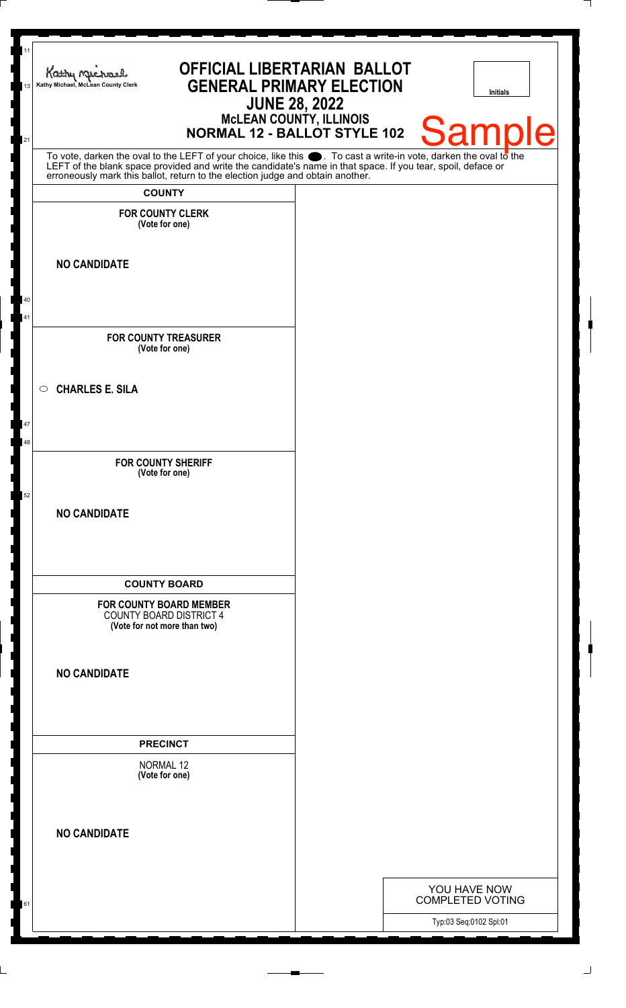| 11<br>Kathy Michael<br>Kathy Michael, McLean County Clerk<br>13<br>21                                                                                                                                                         | <b>OFFICIAL LIBERTARIAN BALLOT</b><br><b>GENERAL PRIMARY ELECTION</b><br><b>JUNE 28, 2022</b><br><b>NORMAL 12 - BALLOT STYLE 102</b> | <b>MCLEAN COUNTY, ILLINOIS</b> |                                                   | <b>Initials</b><br><b>Samp</b><br>Ie |
|-------------------------------------------------------------------------------------------------------------------------------------------------------------------------------------------------------------------------------|--------------------------------------------------------------------------------------------------------------------------------------|--------------------------------|---------------------------------------------------|--------------------------------------|
| To vote, darken the oval to the LEFT of your choice, like this . To cast a write-in vote, darken the oval to the LEFT of the blank space provided and write the candidate's name in that space. If you tear, spoil, deface or |                                                                                                                                      |                                |                                                   |                                      |
| <b>COUNTY</b>                                                                                                                                                                                                                 |                                                                                                                                      |                                |                                                   |                                      |
| <b>FOR COUNTY CLERK</b><br>(Vote for one)                                                                                                                                                                                     |                                                                                                                                      |                                |                                                   |                                      |
| <b>NO CANDIDATE</b>                                                                                                                                                                                                           |                                                                                                                                      |                                |                                                   |                                      |
| 40<br>41                                                                                                                                                                                                                      |                                                                                                                                      |                                |                                                   |                                      |
| <b>FOR COUNTY TREASURER</b><br>(Vote for one)                                                                                                                                                                                 |                                                                                                                                      |                                |                                                   |                                      |
| <b>CHARLES E. SILA</b><br>$\circ$                                                                                                                                                                                             |                                                                                                                                      |                                |                                                   |                                      |
| 47<br>48                                                                                                                                                                                                                      |                                                                                                                                      |                                |                                                   |                                      |
| <b>FOR COUNTY SHERIFF</b><br>(Vote for one)<br>52                                                                                                                                                                             |                                                                                                                                      |                                |                                                   |                                      |
| <b>NO CANDIDATE</b>                                                                                                                                                                                                           |                                                                                                                                      |                                |                                                   |                                      |
| <b>COUNTY BOARD</b>                                                                                                                                                                                                           |                                                                                                                                      |                                |                                                   |                                      |
| <b>FOR COUNTY BOARD MEMBER</b><br><b>COUNTY BOARD DISTRICT 4</b><br>(Vote for not more than two)                                                                                                                              |                                                                                                                                      |                                |                                                   |                                      |
| <b>NO CANDIDATE</b>                                                                                                                                                                                                           |                                                                                                                                      |                                |                                                   |                                      |
| <b>PRECINCT</b>                                                                                                                                                                                                               |                                                                                                                                      |                                |                                                   |                                      |
| NORMAL 12<br>(Vote for one)                                                                                                                                                                                                   |                                                                                                                                      |                                |                                                   |                                      |
| <b>NO CANDIDATE</b>                                                                                                                                                                                                           |                                                                                                                                      |                                |                                                   |                                      |
|                                                                                                                                                                                                                               |                                                                                                                                      |                                | YOU HAVE NOW                                      |                                      |
| 61                                                                                                                                                                                                                            |                                                                                                                                      |                                | <b>COMPLETED VOTING</b><br>Typ:03 Seq:0102 Spl:01 |                                      |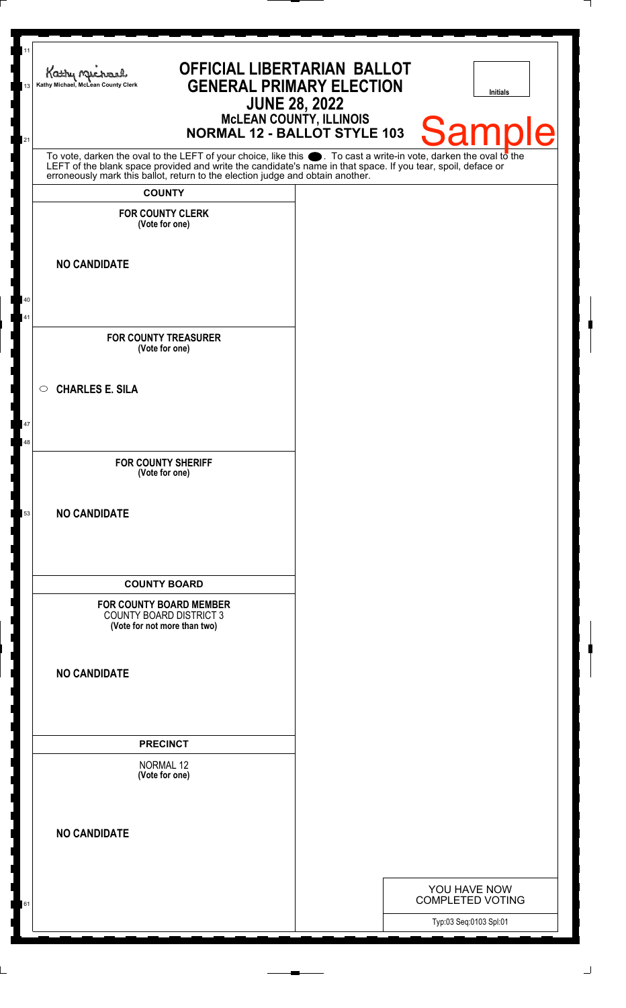| 11<br>Kathy Michael<br>Kathy Michael, McLean County Clerk<br>13<br>21                                                                                                                                                                                                                                                  | <b>OFFICIAL LIBERTARIAN BALLOT</b><br><b>GENERAL PRIMARY ELECTION</b><br><b>NORMAL 12 - BALLOT STYLE 103</b> | <b>JUNE 28, 2022</b><br><b>MCLEAN COUNTY, ILLINOIS</b> | <b>Initials</b><br><b>Sample</b>        |
|------------------------------------------------------------------------------------------------------------------------------------------------------------------------------------------------------------------------------------------------------------------------------------------------------------------------|--------------------------------------------------------------------------------------------------------------|--------------------------------------------------------|-----------------------------------------|
| To vote, darken the oval to the LEFT of your choice, like this $\bullet$ . To cast a write-in vote, darken the oval to the LEFT of the blank space provided and write the candidate's name in that space. If you tear, spoil, deface<br>erroneously mark this ballot, return to the election judge and obtain another. |                                                                                                              |                                                        |                                         |
| <b>COUNTY</b>                                                                                                                                                                                                                                                                                                          |                                                                                                              |                                                        |                                         |
| <b>FOR COUNTY CLERK</b><br>(Vote for one)                                                                                                                                                                                                                                                                              |                                                                                                              |                                                        |                                         |
| <b>NO CANDIDATE</b>                                                                                                                                                                                                                                                                                                    |                                                                                                              |                                                        |                                         |
| 40<br>41                                                                                                                                                                                                                                                                                                               |                                                                                                              |                                                        |                                         |
| <b>FOR COUNTY TREASURER</b><br>(Vote for one)                                                                                                                                                                                                                                                                          |                                                                                                              |                                                        |                                         |
| <b>CHARLES E. SILA</b><br>$\circ$                                                                                                                                                                                                                                                                                      |                                                                                                              |                                                        |                                         |
| 47<br>48                                                                                                                                                                                                                                                                                                               |                                                                                                              |                                                        |                                         |
| <b>FOR COUNTY SHERIFF</b><br>(Vote for one)                                                                                                                                                                                                                                                                            |                                                                                                              |                                                        |                                         |
| <b>NO CANDIDATE</b><br>53                                                                                                                                                                                                                                                                                              |                                                                                                              |                                                        |                                         |
| <b>COUNTY BOARD</b>                                                                                                                                                                                                                                                                                                    |                                                                                                              |                                                        |                                         |
| FOR COUNTY BOARD MEMBER<br><b>COUNTY BOARD DISTRICT 3</b><br>(Vote for not more than two)                                                                                                                                                                                                                              |                                                                                                              |                                                        |                                         |
| <b>NO CANDIDATE</b>                                                                                                                                                                                                                                                                                                    |                                                                                                              |                                                        |                                         |
| <b>PRECINCT</b>                                                                                                                                                                                                                                                                                                        |                                                                                                              |                                                        |                                         |
| <b>NORMAL 12</b><br>(Vote for one)                                                                                                                                                                                                                                                                                     |                                                                                                              |                                                        |                                         |
| <b>NO CANDIDATE</b>                                                                                                                                                                                                                                                                                                    |                                                                                                              |                                                        |                                         |
|                                                                                                                                                                                                                                                                                                                        |                                                                                                              |                                                        |                                         |
| 61                                                                                                                                                                                                                                                                                                                     |                                                                                                              |                                                        | YOU HAVE NOW<br><b>COMPLETED VOTING</b> |
|                                                                                                                                                                                                                                                                                                                        |                                                                                                              |                                                        | Typ:03 Seq:0103 Spl:01                  |